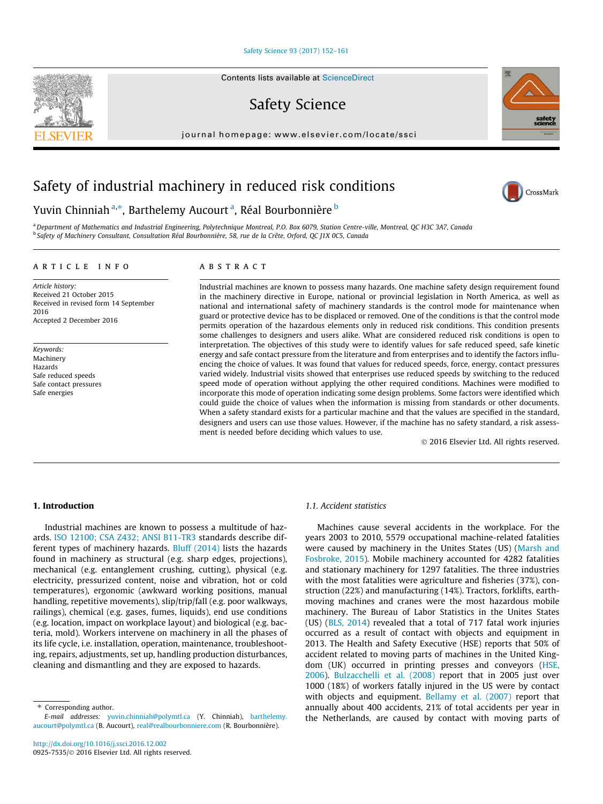#### [Safety Science 93 \(2017\) 152–161](http://dx.doi.org/10.1016/j.ssci.2016.12.002)

Safety Science

journal homepage: [www.elsevier.com/locate/ssci](http://www.elsevier.com/locate/ssci)

## Safety of industrial machinery in reduced risk conditions

### Yuvin Chinniah <sup>a,</sup>\*, Barthelemy Aucourt <sup>a</sup>, Réal Bourbonnière <sup>b</sup>

a Department of Mathematics and Industrial Engineering, Polytechnique Montreal, P.O. Box 6079, Station Centre-ville, Montreal, QC H3C 3A7, Canada <sup>b</sup> Safety of Machinery Consultant, Consultation Réal Bourbonnière, 58, rue de la Crête, Orford, QC J1X 0C5, Canada

#### article info

Received 21 October 2015

Accepted 2 December 2016

Article history:

2016

Keywords: Machinery Hazards

Safe reduced speeds Safe contact pressures Safe energies

#### **ABSTRACT**

Received in revised form 14 September Industrial machines are known to possess many hazards. One machine safety design requirement found in the machinery directive in Europe, national or provincial legislation in North America, as well as national and international safety of machinery standards is the control mode for maintenance when guard or protective device has to be displaced or removed. One of the conditions is that the control mode permits operation of the hazardous elements only in reduced risk conditions. This condition presents some challenges to designers and users alike. What are considered reduced risk conditions is open to interpretation. The objectives of this study were to identify values for safe reduced speed, safe kinetic energy and safe contact pressure from the literature and from enterprises and to identify the factors influencing the choice of values. It was found that values for reduced speeds, force, energy, contact pressures varied widely. Industrial visits showed that enterprises use reduced speeds by switching to the reduced speed mode of operation without applying the other required conditions. Machines were modified to incorporate this mode of operation indicating some design problems. Some factors were identified which could guide the choice of values when the information is missing from standards or other documents.

ment is needed before deciding which values to use.

2016 Elsevier Ltd. All rights reserved.

#### 1. Introduction

Industrial machines are known to possess a multitude of hazards. ISO 12100; CSA Z432; ANSI B11-TR3 standards describe different types of machinery hazards. Bluff (2014) lists the hazards found in machinery as structural (e.g. sharp edges, projections), mechanical (e.g. entanglement crushing, cutting), physical (e.g. electricity, pressurized content, noise and vibration, hot or cold temperatures), ergonomic (awkward working positions, manual handling, repetitive movements), slip/trip/fall (e.g. poor walkways, railings), chemical (e.g. gases, fumes, liquids), end use conditions (e.g. location, impact on workplace layout) and biological (e.g. bacteria, mold). Workers intervene on machinery in all the phases of its life cycle, i.e. installation, operation, maintenance, troubleshooting, repairs, adjustments, set up, handling production disturbances, cleaning and dismantling and they are exposed to hazards.

\* Corresponding author.

#### 1.1 Accident statistics

When a safety standard exists for a particular machine and that the values are specified in the standard, designers and users can use those values. However, if the machine has no safety standard, a risk assess-

> Machines cause several accidents in the workplace. For the years 2003 to 2010, 5579 occupational machine-related fatalities were caused by machinery in the Unites States (US) (Marsh and Fosbroke, 2015). Mobile machinery accounted for 4282 fatalities and stationary machinery for 1297 fatalities. The three industries with the most fatalities were agriculture and fisheries (37%), construction (22%) and manufacturing (14%). Tractors, forklifts, earthmoving machines and cranes were the most hazardous mobile machinery. The Bureau of Labor Statistics in the Unites States (US) (BLS, 2014) revealed that a total of 717 fatal work injuries occurred as a result of contact with objects and equipment in 2013. The Health and Safety Executive (HSE) reports that 50% of accident related to moving parts of machines in the United Kingdom (UK) occurred in printing presses and conveyors (HSE, 2006). Bulzacchelli et al. (2008) report that in 2005 just over 1000 (18%) of workers fatally injured in the US were by contact with objects and equipment. Bellamy et al. (2007) report that annually about 400 accidents, 21% of total accidents per year in the Netherlands, are caused by contact with moving parts of







CrossMark

E-mail addresses: [yuvin.chinniah@polymtl.ca](mailto:yuvin.chinniah@polymtl.ca) (Y. Chinniah), [barthelemy.](mailto:barthelemy.aucourt@polymtl.ca) [aucourt@polymtl.ca](mailto:barthelemy.aucourt@polymtl.ca) (B. Aucourt), [real@realbourbonniere.com](mailto:real@realbourbonniere.com) (R. Bourbonnière).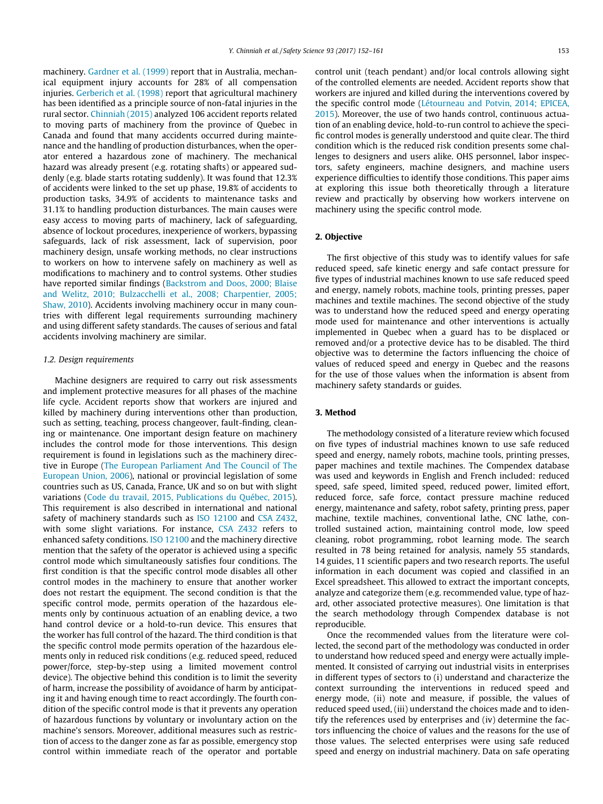machinery. Gardner et al. (1999) report that in Australia, mechanical equipment injury accounts for 28% of all compensation injuries. Gerberich et al. (1998) report that agricultural machinery has been identified as a principle source of non-fatal injuries in the rural sector. Chinniah (2015) analyzed 106 accident reports related to moving parts of machinery from the province of Quebec in Canada and found that many accidents occurred during maintenance and the handling of production disturbances, when the operator entered a hazardous zone of machinery. The mechanical hazard was already present (e.g. rotating shafts) or appeared suddenly (e.g. blade starts rotating suddenly). It was found that 12.3% of accidents were linked to the set up phase, 19.8% of accidents to production tasks, 34.9% of accidents to maintenance tasks and 31.1% to handling production disturbances. The main causes were easy access to moving parts of machinery, lack of safeguarding, absence of lockout procedures, inexperience of workers, bypassing safeguards, lack of risk assessment, lack of supervision, poor machinery design, unsafe working methods, no clear instructions to workers on how to intervene safely on machinery as well as modifications to machinery and to control systems. Other studies have reported similar findings (Backstrom and Doos, 2000; Blaise and Welitz, 2010; Bulzacchelli et al., 2008; Charpentier, 2005; Shaw, 2010). Accidents involving machinery occur in many countries with different legal requirements surrounding machinery and using different safety standards. The causes of serious and fatal accidents involving machinery are similar.

#### 1.2. Design requirements

Machine designers are required to carry out risk assessments and implement protective measures for all phases of the machine life cycle. Accident reports show that workers are injured and killed by machinery during interventions other than production, such as setting, teaching, process changeover, fault-finding, cleaning or maintenance. One important design feature on machinery includes the control mode for those interventions. This design requirement is found in legislations such as the machinery directive in Europe (The European Parliament And The Council of The European Union, 2006), national or provincial legislation of some countries such as US, Canada, France, UK and so on but with slight variations (Code du travail, 2015, Publications du Québec, 2015). This requirement is also described in international and national safety of machinery standards such as ISO 12100 and CSA Z432, with some slight variations. For instance, CSA Z432 refers to enhanced safety conditions. ISO 12100 and the machinery directive mention that the safety of the operator is achieved using a specific control mode which simultaneously satisfies four conditions. The first condition is that the specific control mode disables all other control modes in the machinery to ensure that another worker does not restart the equipment. The second condition is that the specific control mode, permits operation of the hazardous elements only by continuous actuation of an enabling device, a two hand control device or a hold-to-run device. This ensures that the worker has full control of the hazard. The third condition is that the specific control mode permits operation of the hazardous elements only in reduced risk conditions (e.g. reduced speed, reduced power/force, step-by-step using a limited movement control device). The objective behind this condition is to limit the severity of harm, increase the possibility of avoidance of harm by anticipating it and having enough time to react accordingly. The fourth condition of the specific control mode is that it prevents any operation of hazardous functions by voluntary or involuntary action on the machine's sensors. Moreover, additional measures such as restriction of access to the danger zone as far as possible, emergency stop control within immediate reach of the operator and portable control unit (teach pendant) and/or local controls allowing sight of the controlled elements are needed. Accident reports show that workers are injured and killed during the interventions covered by the specific control mode (Létourneau and Potvin, 2014; EPICEA, 2015). Moreover, the use of two hands control, continuous actuation of an enabling device, hold-to-run control to achieve the specific control modes is generally understood and quite clear. The third condition which is the reduced risk condition presents some challenges to designers and users alike. OHS personnel, labor inspectors, safety engineers, machine designers, and machine users experience difficulties to identify those conditions. This paper aims at exploring this issue both theoretically through a literature review and practically by observing how workers intervene on machinery using the specific control mode.

#### 2. Objective

The first objective of this study was to identify values for safe reduced speed, safe kinetic energy and safe contact pressure for five types of industrial machines known to use safe reduced speed and energy, namely robots, machine tools, printing presses, paper machines and textile machines. The second objective of the study was to understand how the reduced speed and energy operating mode used for maintenance and other interventions is actually implemented in Quebec when a guard has to be displaced or removed and/or a protective device has to be disabled. The third objective was to determine the factors influencing the choice of values of reduced speed and energy in Quebec and the reasons for the use of those values when the information is absent from machinery safety standards or guides.

#### 3. Method

The methodology consisted of a literature review which focused on five types of industrial machines known to use safe reduced speed and energy, namely robots, machine tools, printing presses, paper machines and textile machines. The Compendex database was used and keywords in English and French included: reduced speed, safe speed, limited speed, reduced power, limited effort, reduced force, safe force, contact pressure machine reduced energy, maintenance and safety, robot safety, printing press, paper machine, textile machines, conventional lathe, CNC lathe, controlled sustained action, maintaining control mode, low speed cleaning, robot programming, robot learning mode. The search resulted in 78 being retained for analysis, namely 55 standards, 14 guides, 11 scientific papers and two research reports. The useful information in each document was copied and classified in an Excel spreadsheet. This allowed to extract the important concepts, analyze and categorize them (e.g. recommended value, type of hazard, other associated protective measures). One limitation is that the search methodology through Compendex database is not reproducible.

Once the recommended values from the literature were collected, the second part of the methodology was conducted in order to understand how reduced speed and energy were actually implemented. It consisted of carrying out industrial visits in enterprises in different types of sectors to (i) understand and characterize the context surrounding the interventions in reduced speed and energy mode, (ii) note and measure, if possible, the values of reduced speed used, (iii) understand the choices made and to identify the references used by enterprises and (iv) determine the factors influencing the choice of values and the reasons for the use of those values. The selected enterprises were using safe reduced speed and energy on industrial machinery. Data on safe operating